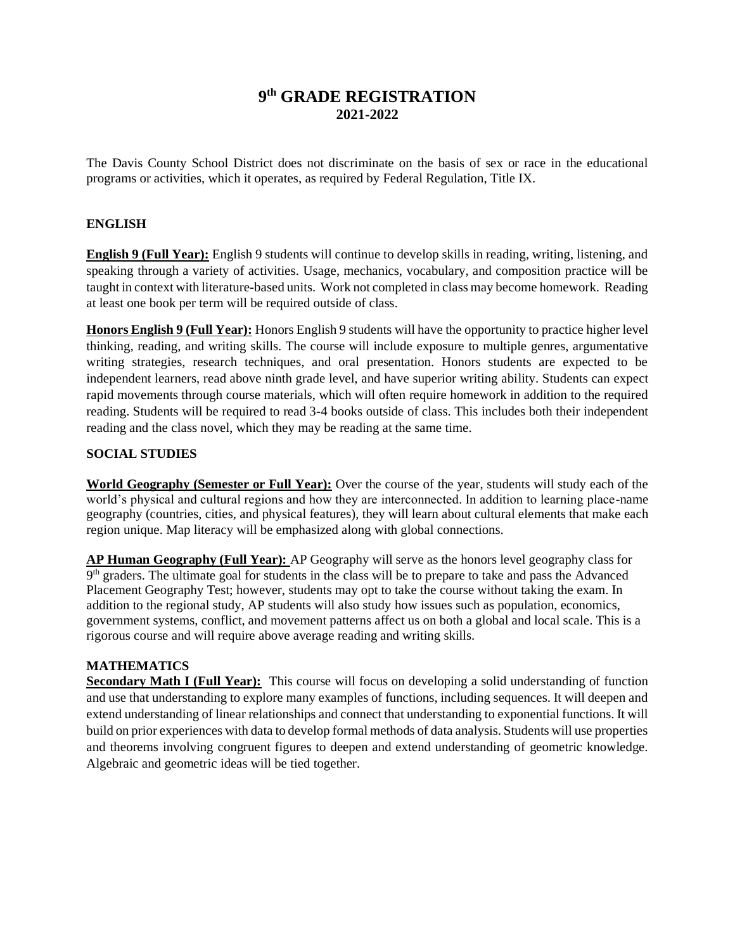# **9 th GRADE REGISTRATION 2021-2022**

The Davis County School District does not discriminate on the basis of sex or race in the educational programs or activities, which it operates, as required by Federal Regulation, Title IX.

# **ENGLISH**

**English 9 (Full Year):** English 9 students will continue to develop skills in reading, writing, listening, and speaking through a variety of activities. Usage, mechanics, vocabulary, and composition practice will be taught in context with literature-based units. Work not completed in class may become homework. Reading at least one book per term will be required outside of class.

**Honors English 9 (Full Year):** Honors English 9 students will have the opportunity to practice higher level thinking, reading, and writing skills. The course will include exposure to multiple genres, argumentative writing strategies, research techniques, and oral presentation. Honors students are expected to be independent learners, read above ninth grade level, and have superior writing ability. Students can expect rapid movements through course materials, which will often require homework in addition to the required reading. Students will be required to read 3-4 books outside of class. This includes both their independent reading and the class novel, which they may be reading at the same time.

## **SOCIAL STUDIES**

**World Geography (Semester or Full Year):** Over the course of the year, students will study each of the world's physical and cultural regions and how they are interconnected. In addition to learning place-name geography (countries, cities, and physical features), they will learn about cultural elements that make each region unique. Map literacy will be emphasized along with global connections.

**AP Human Geography (Full Year):** AP Geography will serve as the honors level geography class for 9<sup>th</sup> graders. The ultimate goal for students in the class will be to prepare to take and pass the Advanced Placement Geography Test; however, students may opt to take the course without taking the exam. In addition to the regional study, AP students will also study how issues such as population, economics, government systems, conflict, and movement patterns affect us on both a global and local scale. This is a rigorous course and will require above average reading and writing skills.

# **MATHEMATICS**

**Secondary Math I (Full Year):** This course will focus on developing a solid understanding of function and use that understanding to explore many examples of functions, including sequences. It will deepen and extend understanding of linear relationships and connect that understanding to exponential functions. It will build on prior experiences with data to develop formal methods of data analysis. Students will use properties and theorems involving congruent figures to deepen and extend understanding of geometric knowledge. Algebraic and geometric ideas will be tied together.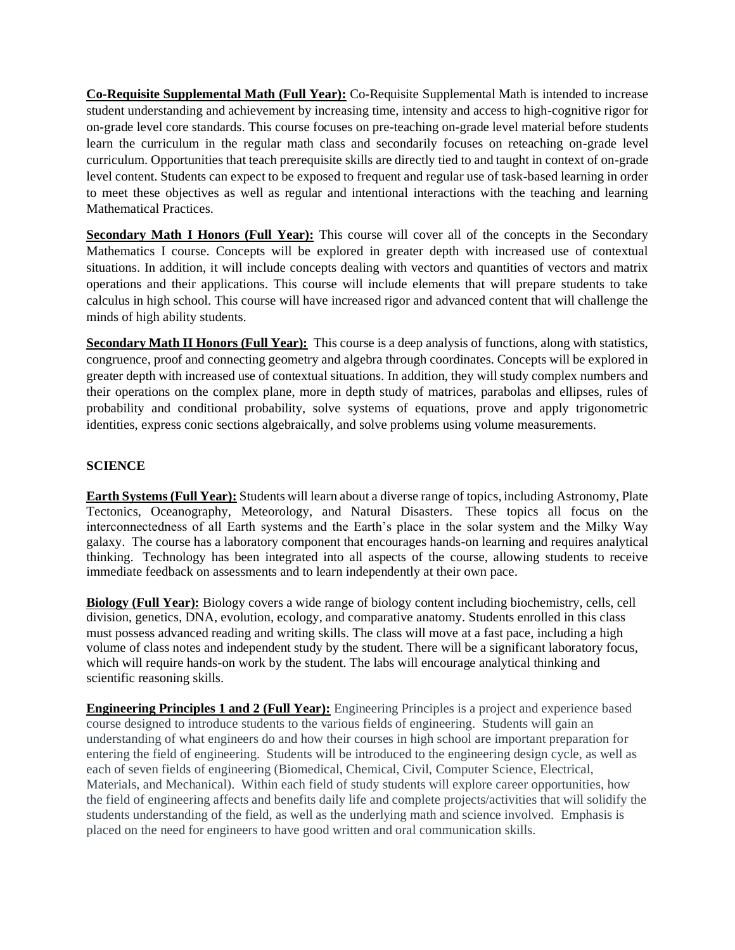**Co-Requisite Supplemental Math (Full Year):** Co-Requisite Supplemental Math is intended to increase student understanding and achievement by increasing time, intensity and access to high-cognitive rigor for on-grade level core standards. This course focuses on pre-teaching on-grade level material before students learn the curriculum in the regular math class and secondarily focuses on reteaching on-grade level curriculum. Opportunities that teach prerequisite skills are directly tied to and taught in context of on-grade level content. Students can expect to be exposed to frequent and regular use of task-based learning in order to meet these objectives as well as regular and intentional interactions with the teaching and learning Mathematical Practices.

**Secondary Math I Honors (Full Year):** This course will cover all of the concepts in the Secondary Mathematics I course. Concepts will be explored in greater depth with increased use of contextual situations. In addition, it will include concepts dealing with vectors and quantities of vectors and matrix operations and their applications. This course will include elements that will prepare students to take calculus in high school. This course will have increased rigor and advanced content that will challenge the minds of high ability students.

**Secondary Math II Honors (Full Year):** This course is a deep analysis of functions, along with statistics, congruence, proof and connecting geometry and algebra through coordinates. Concepts will be explored in greater depth with increased use of contextual situations. In addition, they will study complex numbers and their operations on the complex plane, more in depth study of matrices, parabolas and ellipses, rules of probability and conditional probability, solve systems of equations, prove and apply trigonometric identities, express conic sections algebraically, and solve problems using volume measurements.

# **SCIENCE**

**Earth Systems (Full Year):** Students will learn about a diverse range of topics, including Astronomy, Plate Tectonics, Oceanography, Meteorology, and Natural Disasters. These topics all focus on the interconnectedness of all Earth systems and the Earth's place in the solar system and the Milky Way galaxy. The course has a laboratory component that encourages hands-on learning and requires analytical thinking. Technology has been integrated into all aspects of the course, allowing students to receive immediate feedback on assessments and to learn independently at their own pace.

**Biology (Full Year):** Biology covers a wide range of biology content including biochemistry, cells, cell division, genetics, DNA, evolution, ecology, and comparative anatomy. Students enrolled in this class must possess advanced reading and writing skills. The class will move at a fast pace, including a high volume of class notes and independent study by the student. There will be a significant laboratory focus, which will require hands-on work by the student. The labs will encourage analytical thinking and scientific reasoning skills.

**Engineering Principles 1 and 2 (Full Year):** Engineering Principles is a project and experience based course designed to introduce students to the various fields of engineering. Students will gain an understanding of what engineers do and how their courses in high school are important preparation for entering the field of engineering. Students will be introduced to the engineering design cycle, as well as each of seven fields of engineering (Biomedical, Chemical, Civil, Computer Science, Electrical, Materials, and Mechanical). Within each field of study students will explore career opportunities, how the field of engineering affects and benefits daily life and complete projects/activities that will solidify the students understanding of the field, as well as the underlying math and science involved. Emphasis is placed on the need for engineers to have good written and oral communication skills.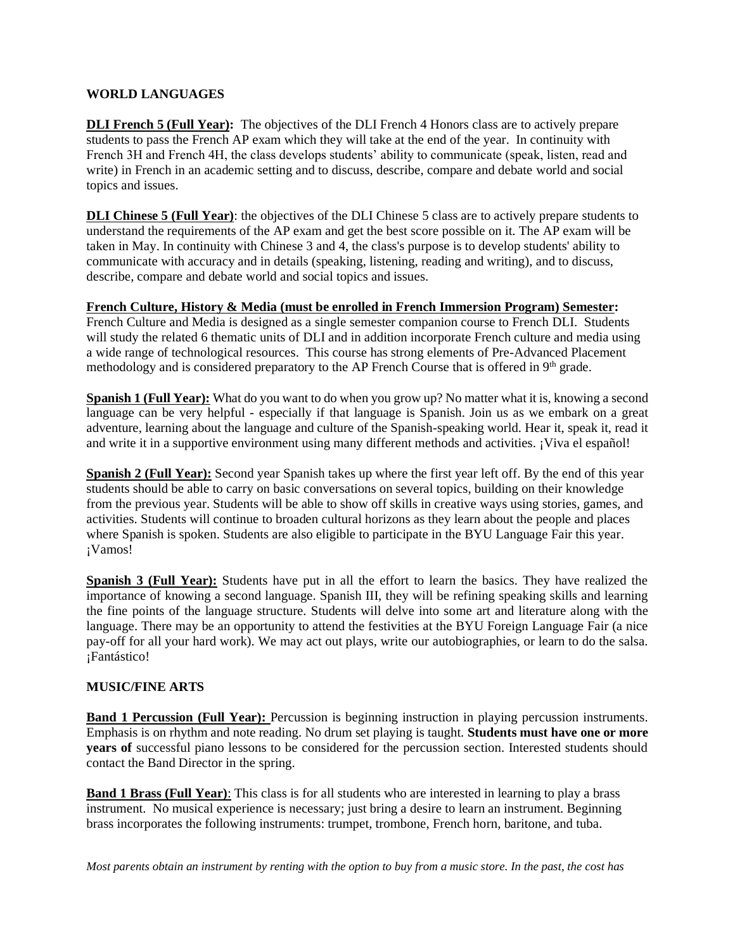### **WORLD LANGUAGES**

**DLI French 5 (Full Year):** The objectives of the DLI French 4 Honors class are to actively prepare students to pass the French AP exam which they will take at the end of the year. In continuity with French 3H and French 4H, the class develops students' ability to communicate (speak, listen, read and write) in French in an academic setting and to discuss, describe, compare and debate world and social topics and issues.

**DLI Chinese 5 (Full Year)**: the objectives of the DLI Chinese 5 class are to actively prepare students to understand the requirements of the AP exam and get the best score possible on it. The AP exam will be taken in May. In continuity with Chinese 3 and 4, the class's purpose is to develop students' ability to communicate with accuracy and in details (speaking, listening, reading and writing), and to discuss, describe, compare and debate world and social topics and issues.

## **French Culture, History & Media (must be enrolled in French Immersion Program) Semester:**

French Culture and Media is designed as a single semester companion course to French DLI. Students will study the related 6 thematic units of DLI and in addition incorporate French culture and media using a wide range of technological resources. This course has strong elements of Pre-Advanced Placement methodology and is considered preparatory to the AP French Course that is offered in 9<sup>th</sup> grade.

**Spanish 1 (Full Year):** What do you want to do when you grow up? No matter what it is, knowing a second language can be very helpful - especially if that language is Spanish. Join us as we embark on a great adventure, learning about the language and culture of the Spanish-speaking world. Hear it, speak it, read it and write it in a supportive environment using many different methods and activities. ¡Viva el español!

**Spanish 2 (Full Year):** Second year Spanish takes up where the first year left off. By the end of this year students should be able to carry on basic conversations on several topics, building on their knowledge from the previous year. Students will be able to show off skills in creative ways using stories, games, and activities. Students will continue to broaden cultural horizons as they learn about the people and places where Spanish is spoken. Students are also eligible to participate in the BYU Language Fair this year. ¡Vamos!

**Spanish 3 (Full Year):** Students have put in all the effort to learn the basics. They have realized the importance of knowing a second language. Spanish III, they will be refining speaking skills and learning the fine points of the language structure. Students will delve into some art and literature along with the language. There may be an opportunity to attend the festivities at the BYU Foreign Language Fair (a nice pay-off for all your hard work). We may act out plays, write our autobiographies, or learn to do the salsa. ¡Fantástico!

# **MUSIC/FINE ARTS**

**Band 1 Percussion (Full Year):** Percussion is beginning instruction in playing percussion instruments. Emphasis is on rhythm and note reading. No drum set playing is taught. **Students must have one or more years of** successful piano lessons to be considered for the percussion section. Interested students should contact the Band Director in the spring.

**Band 1 Brass (Full Year)**: This class is for all students who are interested in learning to play a brass instrument. No musical experience is necessary; just bring a desire to learn an instrument. Beginning brass incorporates the following instruments: trumpet, trombone, French horn, baritone, and tuba.

*Most parents obtain an instrument by renting with the option to buy from a music store. In the past, the cost has*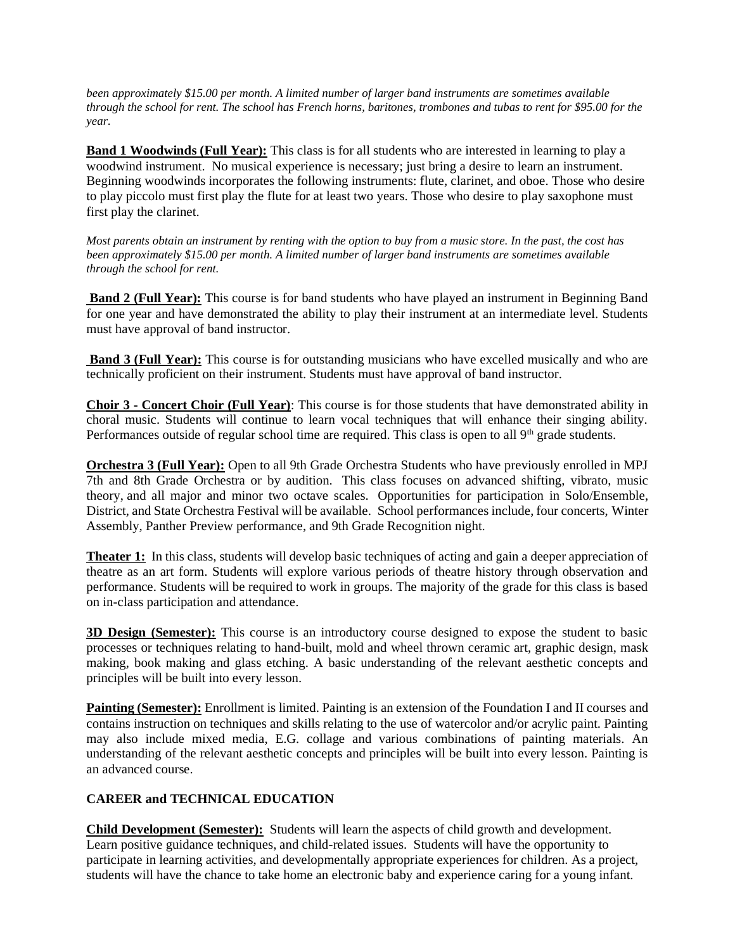*been approximately \$15.00 per month. A limited number of larger band instruments are sometimes available through the school for rent. The school has French horns, baritones, trombones and tubas to rent for \$95.00 for the year.*

**Band 1 Woodwinds (Full Year):** This class is for all students who are interested in learning to play a woodwind instrument. No musical experience is necessary; just bring a desire to learn an instrument. Beginning woodwinds incorporates the following instruments: flute, clarinet, and oboe. Those who desire to play piccolo must first play the flute for at least two years. Those who desire to play saxophone must first play the clarinet.

*Most parents obtain an instrument by renting with the option to buy from a music store. In the past, the cost has been approximately \$15.00 per month. A limited number of larger band instruments are sometimes available through the school for rent.* 

**Band 2 (Full Year):** This course is for band students who have played an instrument in Beginning Band for one year and have demonstrated the ability to play their instrument at an intermediate level. Students must have approval of band instructor.

**Band 3 (Full Year):** This course is for outstanding musicians who have excelled musically and who are technically proficient on their instrument. Students must have approval of band instructor.

**Choir 3 - Concert Choir (Full Year)**: This course is for those students that have demonstrated ability in choral music. Students will continue to learn vocal techniques that will enhance their singing ability. Performances outside of regular school time are required. This class is open to all 9<sup>th</sup> grade students.

**Orchestra 3 (Full Year):** Open to all 9th Grade Orchestra Students who have previously enrolled in MPJ 7th and 8th Grade Orchestra or by audition. This class focuses on advanced shifting, vibrato, music theory, and all major and minor two octave scales. Opportunities for participation in Solo/Ensemble, District, and State Orchestra Festival will be available. School performances include, four concerts, Winter Assembly, Panther Preview performance, and 9th Grade Recognition night.

**Theater 1:** In this class, students will develop basic techniques of acting and gain a deeper appreciation of theatre as an art form. Students will explore various periods of theatre history through observation and performance. Students will be required to work in groups. The majority of the grade for this class is based on in-class participation and attendance.

**3D Design (Semester):** This course is an introductory course designed to expose the student to basic processes or techniques relating to hand-built, mold and wheel thrown ceramic art, graphic design, mask making, book making and glass etching. A basic understanding of the relevant aesthetic concepts and principles will be built into every lesson.

**Painting (Semester):** Enrollment is limited. Painting is an extension of the Foundation I and II courses and contains instruction on techniques and skills relating to the use of watercolor and/or acrylic paint. Painting may also include mixed media, E.G. collage and various combinations of painting materials. An understanding of the relevant aesthetic concepts and principles will be built into every lesson. Painting is an advanced course.

#### **CAREER and TECHNICAL EDUCATION**

**Child Development (Semester):** Students will learn the aspects of child growth and development. Learn positive guidance techniques, and child-related issues. Students will have the opportunity to participate in learning activities, and developmentally appropriate experiences for children. As a project, students will have the chance to take home an electronic baby and experience caring for a young infant.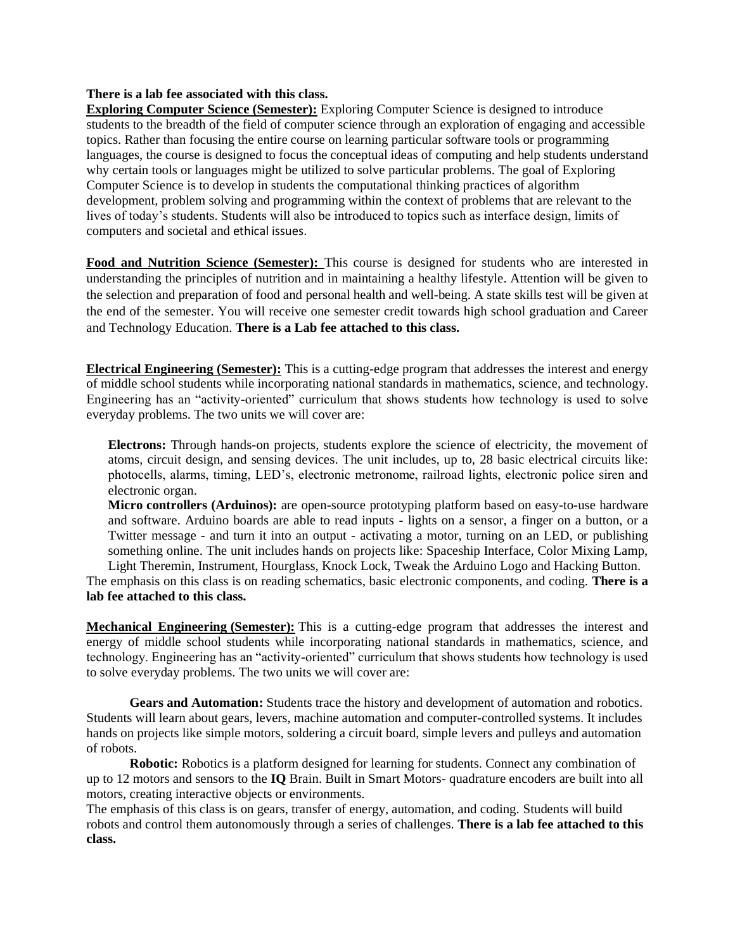#### **There is a lab fee associated with this class.**

**Exploring Computer Science (Semester):** Exploring Computer Science is designed to introduce students to the breadth of the field of computer science through an exploration of engaging and accessible topics. Rather than focusing the entire course on learning particular software tools or programming languages, the course is designed to focus the conceptual ideas of computing and help students understand why certain tools or languages might be utilized to solve particular problems. The goal of Exploring Computer Science is to develop in students the computational thinking practices of algorithm development, problem solving and programming within the context of problems that are relevant to the lives of today's students. Students will also be introduced to topics such as interface design, limits of computers and societal and ethical issues.

**Food and Nutrition Science (Semester):** This course is designed for students who are interested in understanding the principles of nutrition and in maintaining a healthy lifestyle. Attention will be given to the selection and preparation of food and personal health and well-being. A state skills test will be given at the end of the semester. You will receive one semester credit towards high school graduation and Career and Technology Education. **There is a Lab fee attached to this class.**

**Electrical Engineering (Semester):** This is a cutting-edge program that addresses the interest and energy of middle school students while incorporating national standards in mathematics, science, and technology. Engineering has an "activity-oriented" curriculum that shows students how technology is used to solve everyday problems. The two units we will cover are:

**Electrons:** Through hands-on projects, students explore the science of electricity, the movement of atoms, circuit design, and sensing devices. The unit includes, up to, 28 basic electrical circuits like: photocells, alarms, timing, LED's, electronic metronome, railroad lights, electronic police siren and electronic organ.

**Micro controllers (Arduinos):** are open-source prototyping platform based on easy-to-use hardware and software. Arduino boards are able to read inputs - lights on a sensor, a finger on a button, or a Twitter message - and turn it into an output - activating a motor, turning on an LED, or publishing something online. The unit includes hands on projects like: Spaceship Interface, Color Mixing Lamp, Light Theremin, Instrument, Hourglass, Knock Lock, Tweak the Arduino Logo and Hacking Button.

The emphasis on this class is on reading schematics, basic electronic components, and coding. **There is a lab fee attached to this class.** 

**Mechanical Engineering (Semester):** This is a cutting-edge program that addresses the interest and energy of middle school students while incorporating national standards in mathematics, science, and technology. Engineering has an "activity-oriented" curriculum that shows students how technology is used to solve everyday problems. The two units we will cover are:

**Gears and Automation:** Students trace the history and development of automation and robotics. Students will learn about gears, levers, machine automation and computer-controlled systems. It includes hands on projects like simple motors, soldering a circuit board, simple levers and pulleys and automation of robots.

**Robotic:** Robotics is a platform designed for learning for students. Connect any combination of up to 12 motors and sensors to the **IQ** Brain. Built in Smart Motors- quadrature encoders are built into all motors, creating interactive objects or environments.

The emphasis of this class is on gears, transfer of energy, automation, and coding. Students will build robots and control them autonomously through a series of challenges. **There is a lab fee attached to this class.**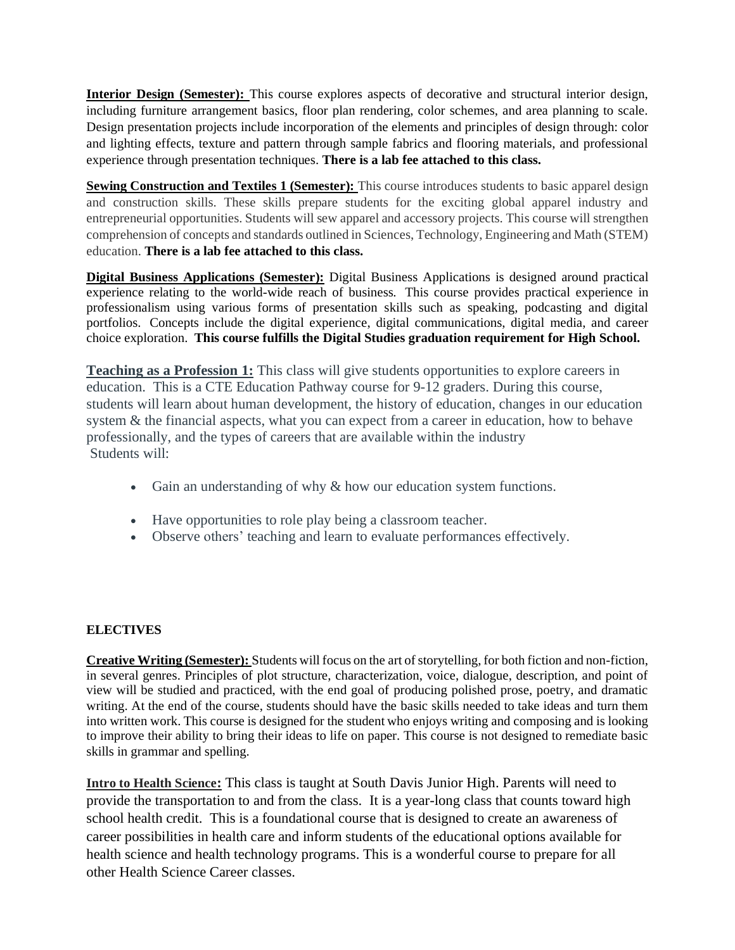**Interior Design (Semester):** This course explores aspects of decorative and structural interior design, including furniture arrangement basics, floor plan rendering, color schemes, and area planning to scale. Design presentation projects include incorporation of the elements and principles of design through: color and lighting effects, texture and pattern through sample fabrics and flooring materials, and professional experience through presentation techniques. **There is a lab fee attached to this class.**

**Sewing Construction and Textiles 1 (Semester):** This course introduces students to basic apparel design and construction skills. These skills prepare students for the exciting global apparel industry and entrepreneurial opportunities. Students will sew apparel and accessory projects. This course will strengthen comprehension of concepts and standards outlined in Sciences, Technology, Engineering and Math (STEM) education. **There is a lab fee attached to this class.**

**Digital Business Applications (Semester):** Digital Business Applications is designed around practical experience relating to the world-wide reach of business. This course provides practical experience in professionalism using various forms of presentation skills such as speaking, podcasting and digital portfolios. Concepts include the digital experience, digital communications, digital media, and career choice exploration. **This course fulfills the Digital Studies graduation requirement for High School.**

**Teaching as a Profession 1:** This class will give students opportunities to explore careers in education. This is a CTE Education Pathway course for 9-12 graders. During this course, students will learn about human development, the history of education, changes in our education system & the financial aspects, what you can expect from a career in education, how to behave professionally, and the types of careers that are available within the industry Students will:

- Gain an understanding of why & how our education system functions.
- Have opportunities to role play being a classroom teacher.
- Observe others' teaching and learn to evaluate performances effectively.

# **ELECTIVES**

**Creative Writing (Semester):** Students will focus on the art of storytelling, for both fiction and non-fiction, in several genres. Principles of plot structure, characterization, voice, dialogue, description, and point of view will be studied and practiced, with the end goal of producing polished prose, poetry, and dramatic writing. At the end of the course, students should have the basic skills needed to take ideas and turn them into written work. This course is designed for the student who enjoys writing and composing and is looking to improve their ability to bring their ideas to life on paper. This course is not designed to remediate basic skills in grammar and spelling.

**Intro to Health Science:** This class is taught at South Davis Junior High. Parents will need to provide the transportation to and from the class. It is a year-long class that counts toward high school health credit. This is a foundational course that is designed to create an awareness of career possibilities in health care and inform students of the educational options available for health science and health technology programs. This is a wonderful course to prepare for all other Health Science Career classes.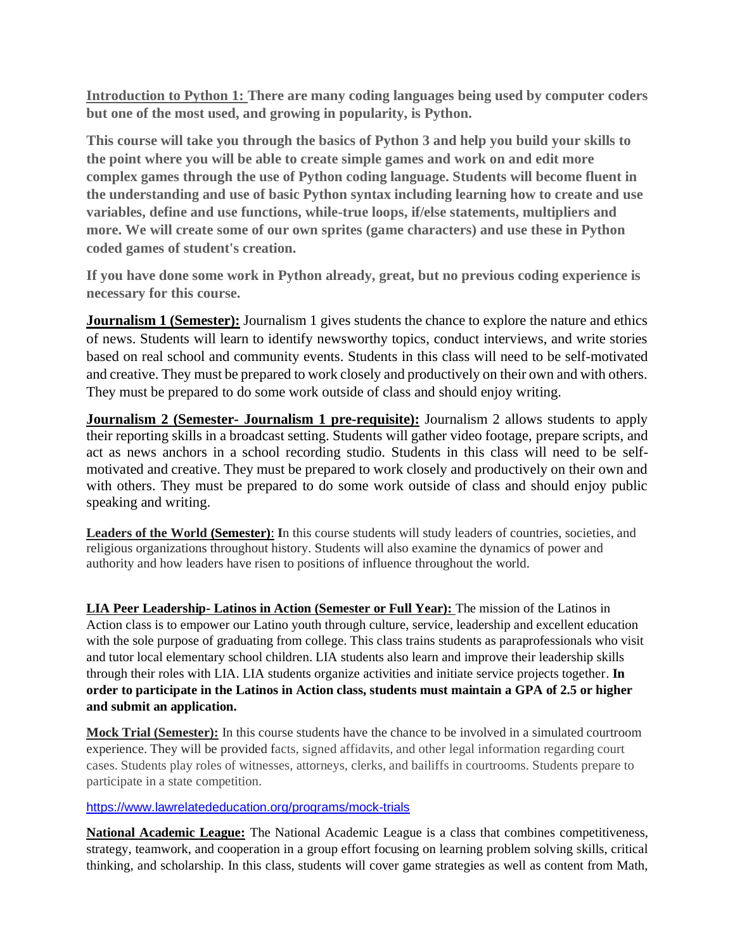**Introduction to Python 1: There are many coding languages being used by computer coders but one of the most used, and growing in popularity, is Python.**

**This course will take you through the basics of Python 3 and help you build your skills to the point where you will be able to create simple games and work on and edit more complex games through the use of Python coding language. Students will become fluent in the understanding and use of basic Python syntax including learning how to create and use variables, define and use functions, while-true loops, if/else statements, multipliers and more. We will create some of our own sprites (game characters) and use these in Python coded games of student's creation.**

**If you have done some work in Python already, great, but no previous coding experience is necessary for this course.**

**Journalism 1 (Semester):** Journalism 1 gives students the chance to explore the nature and ethics of news. Students will learn to identify newsworthy topics, conduct interviews, and write stories based on real school and community events. Students in this class will need to be self-motivated and creative. They must be prepared to work closely and productively on their own and with others. They must be prepared to do some work outside of class and should enjoy writing.

**Journalism 2 (Semester- Journalism 1 pre-requisite):** Journalism 2 allows students to apply their reporting skills in a broadcast setting. Students will gather video footage, prepare scripts, and act as news anchors in a school recording studio. Students in this class will need to be selfmotivated and creative. They must be prepared to work closely and productively on their own and with others. They must be prepared to do some work outside of class and should enjoy public speaking and writing.

**Leaders of the World (Semester)**: **I**n this course students will study leaders of countries, societies, and religious organizations throughout history. Students will also examine the dynamics of power and authority and how leaders have risen to positions of influence throughout the world.

**LIA Peer Leadership- Latinos in Action (Semester or Full Year):** The mission of the Latinos in Action class is to empower our Latino youth through culture, service, leadership and excellent education with the sole purpose of graduating from college. This class trains students as paraprofessionals who visit and tutor local elementary school children. LIA students also learn and improve their leadership skills through their roles with LIA. LIA students organize activities and initiate service projects together. **In order to participate in the Latinos in Action class, students must maintain a GPA of 2.5 or higher and submit an application.** 

**Mock Trial (Semester):** In this course students have the chance to be involved in a simulated courtroom experience. They will be provided facts, signed affidavits, and other legal information regarding court cases. Students play roles of witnesses, attorneys, clerks, and bailiffs in courtrooms. Students prepare to participate in a state competition.

<https://www.lawrelatededucation.org/programs/mock-trials>

**National Academic League:** The National Academic League is a class that combines competitiveness, strategy, teamwork, and cooperation in a group effort focusing on learning problem solving skills, critical thinking, and scholarship. In this class, students will cover game strategies as well as content from Math,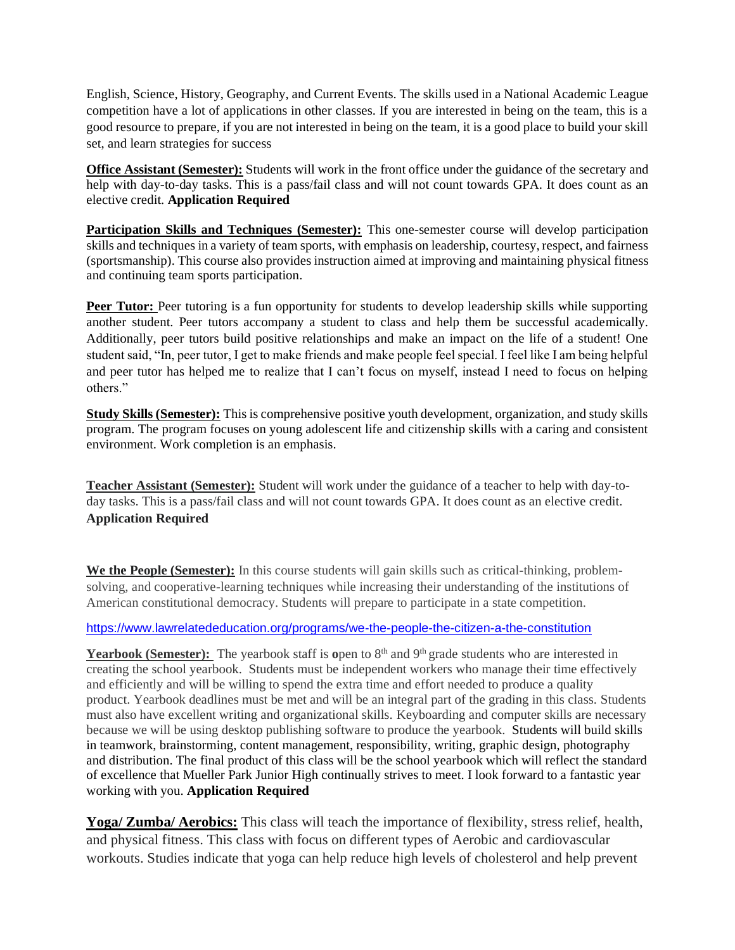English, Science, History, Geography, and Current Events. The skills used in a National Academic League competition have a lot of applications in other classes. If you are interested in being on the team, this is a good resource to prepare, if you are not interested in being on the team, it is a good place to build your skill set, and learn strategies for success

**Office Assistant (Semester):** Students will work in the front office under the guidance of the secretary and help with day-to-day tasks. This is a pass/fail class and will not count towards GPA. It does count as an elective credit. **Application Required**

**Participation Skills and Techniques (Semester):** This one-semester course will develop participation skills and techniques in a variety of team sports, with emphasis on leadership, courtesy, respect, and fairness (sportsmanship). This course also provides instruction aimed at improving and maintaining physical fitness and continuing team sports participation.

**Peer Tutor:** Peer tutoring is a fun opportunity for students to develop leadership skills while supporting another student. Peer tutors accompany a student to class and help them be successful academically. Additionally, peer tutors build positive relationships and make an impact on the life of a student! One student said, "In, peer tutor, I get to make friends and make people feel special. I feel like I am being helpful and peer tutor has helped me to realize that I can't focus on myself, instead I need to focus on helping others."

**Study Skills (Semester):** This is comprehensive positive youth development, organization, and study skills program. The program focuses on young adolescent life and citizenship skills with a caring and consistent environment. Work completion is an emphasis.

**Teacher Assistant (Semester):** Student will work under the guidance of a teacher to help with day-today tasks. This is a pass/fail class and will not count towards GPA. It does count as an elective credit. **Application Required**

**We the People (Semester):** In this course students will gain skills such as critical-thinking, problemsolving, and cooperative-learning techniques while increasing their understanding of the institutions of American constitutional democracy. Students will prepare to participate in a state competition.

#### <https://www.lawrelatededucation.org/programs/we-the-people-the-citizen-a-the-constitution>

**Yearbook (Semester):** The yearbook staff is open to 8<sup>th</sup> and 9<sup>th</sup> grade students who are interested in creating the school yearbook. Students must be independent workers who manage their time effectively and efficiently and will be willing to spend the extra time and effort needed to produce a quality product. Yearbook deadlines must be met and will be an integral part of the grading in this class. Students must also have excellent writing and organizational skills. Keyboarding and computer skills are necessary because we will be using desktop publishing software to produce the yearbook. Students will build skills in teamwork, brainstorming, content management, responsibility, writing, graphic design, photography and distribution. The final product of this class will be the school yearbook which will reflect the standard of excellence that Mueller Park Junior High continually strives to meet. I look forward to a fantastic year working with you. **Application Required**

**Yoga/ Zumba/ Aerobics:** This class will teach the importance of flexibility, stress relief, health, and physical fitness. This class with focus on different types of Aerobic and cardiovascular workouts. Studies indicate that yoga can help reduce high levels of cholesterol and help prevent